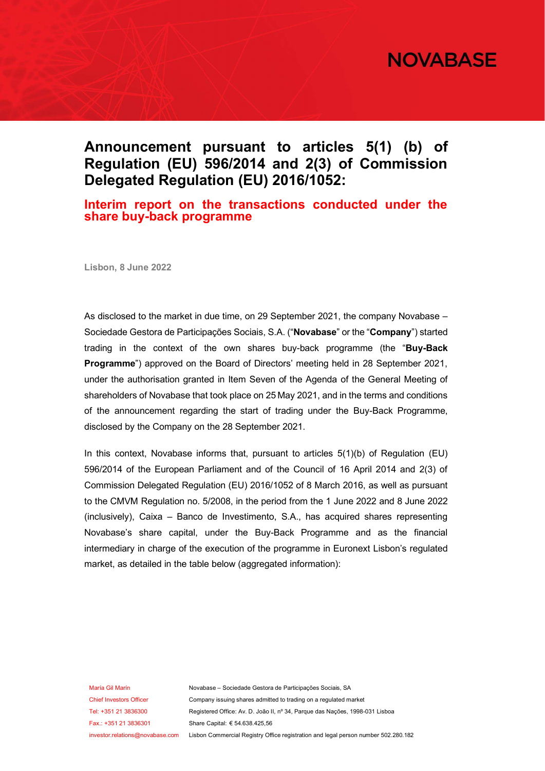

## **Announcement pursuant to articles 5(1) (b) of Regulation (EU) 596/2014 and 2(3) of Commission Delegated Regulation (EU) 2016/1052:**

#### **Interim report on the transactions conducted under the share buy-back programme**

**Lisbon, 8 June 2022**

As disclosed to the market in due time, on 29 September 2021, the company Novabase – Sociedade Gestora de Participações Sociais, S.A. ("**Novabase**" or the "**Company**") started trading in the context of the own shares buy-back programme (the "**Buy-Back Programme**") approved on the Board of Directors' meeting held in 28 September 2021, under the authorisation granted in Item Seven of the Agenda of the General Meeting of shareholders of Novabase that took place on 25 May 2021, and in the terms and conditions of the announcement regarding the start of trading under the Buy-Back Programme, disclosed by the Company on the 28 September 2021.

In this context, Novabase informs that, pursuant to articles  $5(1)(b)$  of Regulation (EU) 596/2014 of the European Parliament and of the Council of 16 April 2014 and 2(3) of Commission Delegated Regulation (EU) 2016/1052 of 8 March 2016, as well as pursuant to the CMVM Regulation no. 5/2008, in the period from the 1 June 2022 and 8 June 2022 (inclusively), Caixa – Banco de Investimento, S.A., has acquired shares representing Novabase's share capital, under the Buy-Back Programme and as the financial intermediary in charge of the execution of the programme in Euronext Lisbon's regulated market, as detailed in the table below (aggregated information):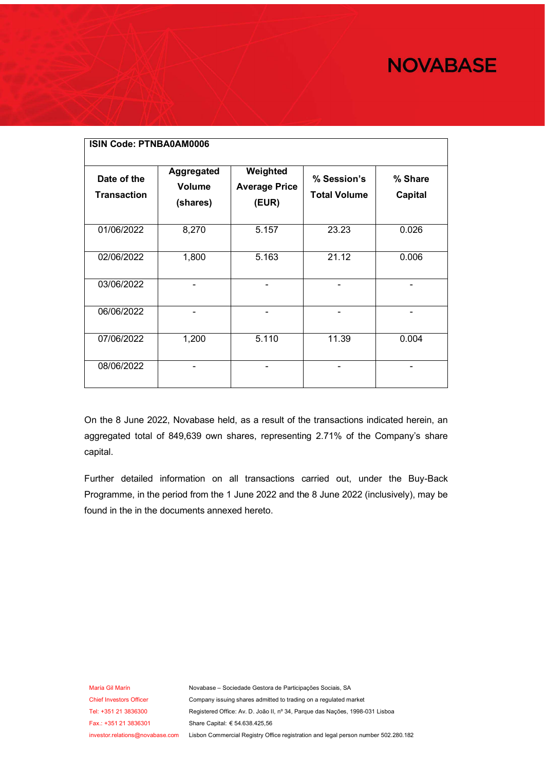# **NOVABASE**

| <b>ISIN Code: PTNBA0AM0006</b>    |                                                |                                           |                                    |                           |
|-----------------------------------|------------------------------------------------|-------------------------------------------|------------------------------------|---------------------------|
| Date of the<br><b>Transaction</b> | <b>Aggregated</b><br><b>Volume</b><br>(shares) | Weighted<br><b>Average Price</b><br>(EUR) | % Session's<br><b>Total Volume</b> | % Share<br><b>Capital</b> |
| 01/06/2022                        | 8,270                                          | 5.157                                     | 23.23                              | 0.026                     |
| 02/06/2022                        | 1,800                                          | 5.163                                     | 21.12                              | 0.006                     |
| 03/06/2022                        | -                                              |                                           | -                                  | -                         |
| 06/06/2022                        | -                                              |                                           | -                                  |                           |
| 07/06/2022                        | 1,200                                          | 5.110                                     | 11.39                              | 0.004                     |
| 08/06/2022                        |                                                |                                           |                                    |                           |

On the 8 June 2022, Novabase held, as a result of the transactions indicated herein, an aggregated total of 849,639 own shares, representing 2.71% of the Company's share capital.

Further detailed information on all transactions carried out, under the Buy-Back Programme, in the period from the 1 June 2022 and the 8 June 2022 (inclusively), may be found in the in the documents annexed hereto.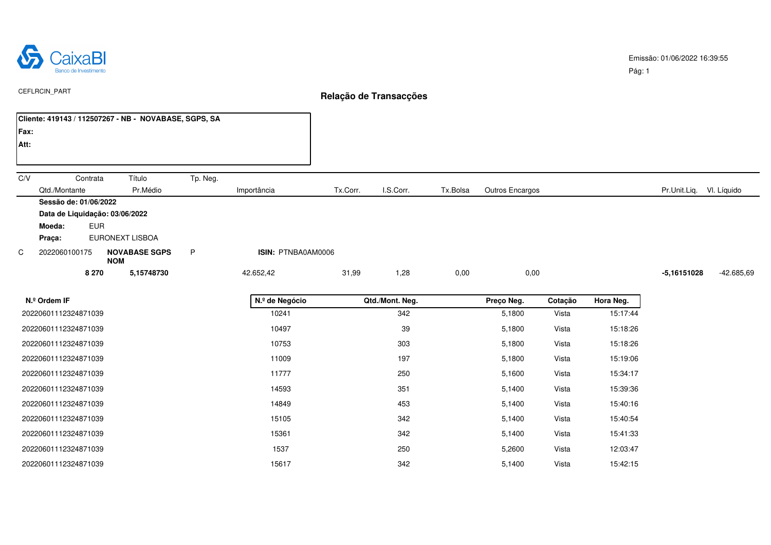

|      | Cliente: 419143 / 112507267 - NB - NOVABASE, SGPS, SA |                                    |          |                    |          |           |          |                 |                             |  |
|------|-------------------------------------------------------|------------------------------------|----------|--------------------|----------|-----------|----------|-----------------|-----------------------------|--|
| Fax: |                                                       |                                    |          |                    |          |           |          |                 |                             |  |
| Att: |                                                       |                                    |          |                    |          |           |          |                 |                             |  |
|      |                                                       |                                    |          |                    |          |           |          |                 |                             |  |
| C/V  | Contrata                                              | Título                             | Tp. Neg. |                    |          |           |          |                 |                             |  |
|      | Qtd./Montante                                         | Pr.Médio                           |          | Importância        | Tx.Corr. | I.S.Corr. | Tx.Bolsa | Outros Encargos | Pr.Unit.Liq. VI. Líquido    |  |
|      | Sessão de: 01/06/2022                                 |                                    |          |                    |          |           |          |                 |                             |  |
|      | Data de Liquidação: 03/06/2022                        |                                    |          |                    |          |           |          |                 |                             |  |
|      | <b>EUR</b><br>Moeda:                                  |                                    |          |                    |          |           |          |                 |                             |  |
|      | Praça:                                                | EURONEXT LISBOA                    |          |                    |          |           |          |                 |                             |  |
| C    | 2022060100175                                         | <b>NOVABASE SGPS</b><br><b>NOM</b> | P        | ISIN: PTNBA0AM0006 |          |           |          |                 |                             |  |
|      | 8 2 7 0                                               | 5,15748730                         |          | 42.652,42          | 31,99    | 1,28      | 0,00     | 0,00            | -42.685,69<br>$-5,16151028$ |  |

| $N°$ Ordem IF        | N.º de Negócio | Qtd./Mont. Neq. | Preço Neg. | Cotação | Hora Neg. |
|----------------------|----------------|-----------------|------------|---------|-----------|
| 20220601112324871039 | 10241          | 342             | 5,1800     | Vista   | 15:17:44  |
| 20220601112324871039 | 10497          | 39              | 5,1800     | Vista   | 15:18:26  |
| 20220601112324871039 | 10753          | 303             | 5,1800     | Vista   | 15:18:26  |
| 20220601112324871039 | 11009          | 197             | 5,1800     | Vista   | 15:19:06  |
| 20220601112324871039 | 11777          | 250             | 5,1600     | Vista   | 15:34:17  |
| 20220601112324871039 | 14593          | 351             | 5,1400     | Vista   | 15:39:36  |
| 20220601112324871039 | 14849          | 453             | 5,1400     | Vista   | 15:40:16  |
| 20220601112324871039 | 15105          | 342             | 5,1400     | Vista   | 15:40:54  |
| 20220601112324871039 | 15361          | 342             | 5,1400     | Vista   | 15:41:33  |
| 20220601112324871039 | 1537           | 250             | 5,2600     | Vista   | 12:03:47  |
| 20220601112324871039 | 15617          | 342             | 5,1400     | Vista   | 15:42:15  |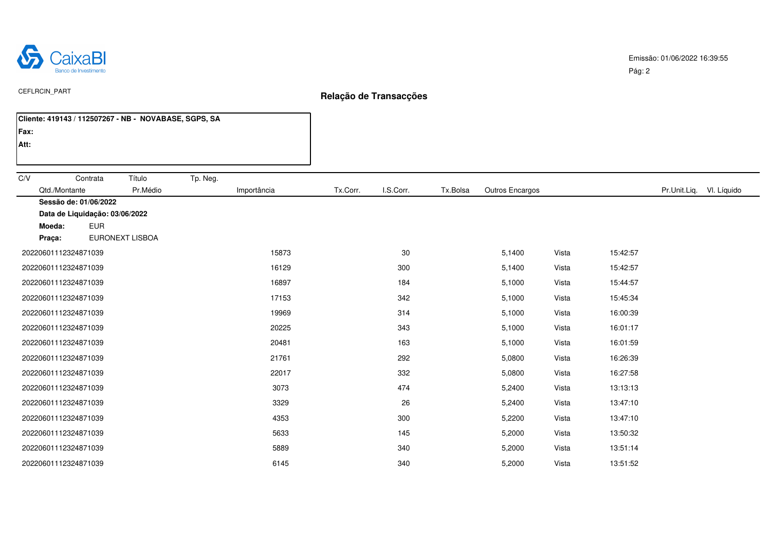

| Cliente: 419143 / 112507267 - NB - NOVABASE, SGPS, SA |                         |                       |                 |       |          |                          |  |
|-------------------------------------------------------|-------------------------|-----------------------|-----------------|-------|----------|--------------------------|--|
| Fax:                                                  |                         |                       |                 |       |          |                          |  |
| Att:                                                  |                         |                       |                 |       |          |                          |  |
|                                                       |                         |                       |                 |       |          |                          |  |
| C/V<br>Título<br>Contrata<br>Tp. Neg.                 |                         |                       |                 |       |          |                          |  |
| Qtd./Montante<br>Pr.Médio                             | Tx.Corr.<br>Importância | I.S.Corr.<br>Tx.Bolsa | Outros Encargos |       |          | Pr.Unit.Liq. VI. Líquido |  |
| Sessão de: 01/06/2022                                 |                         |                       |                 |       |          |                          |  |
| Data de Liquidação: 03/06/2022                        |                         |                       |                 |       |          |                          |  |
| <b>EUR</b><br>Moeda:                                  |                         |                       |                 |       |          |                          |  |
| EURONEXT LISBOA<br>Praça:                             |                         |                       |                 |       |          |                          |  |
| 20220601112324871039                                  | 15873                   | 30                    | 5,1400          | Vista | 15:42:57 |                          |  |
| 20220601112324871039                                  | 16129                   | 300                   | 5,1400          | Vista | 15:42:57 |                          |  |
| 20220601112324871039                                  | 16897                   | 184                   | 5,1000          | Vista | 15:44:57 |                          |  |
| 20220601112324871039                                  | 17153                   | 342                   | 5,1000          | Vista | 15:45:34 |                          |  |
| 20220601112324871039                                  | 19969                   | 314                   | 5,1000          | Vista | 16:00:39 |                          |  |
| 20220601112324871039                                  | 20225                   | 343                   | 5,1000          | Vista | 16:01:17 |                          |  |
| 20220601112324871039                                  | 20481                   | 163                   | 5,1000          | Vista | 16:01:59 |                          |  |
| 20220601112324871039                                  | 21761                   | 292                   | 5,0800          | Vista | 16:26:39 |                          |  |
| 20220601112324871039                                  | 22017                   | 332                   | 5,0800          | Vista | 16:27:58 |                          |  |
| 20220601112324871039                                  | 3073                    | 474                   | 5,2400          | Vista | 13:13:13 |                          |  |
| 20220601112324871039                                  | 3329                    | 26                    | 5,2400          | Vista | 13:47:10 |                          |  |
| 20220601112324871039                                  | 4353                    | 300                   | 5,2200          | Vista | 13:47:10 |                          |  |
| 20220601112324871039                                  | 5633                    | 145                   | 5,2000          | Vista | 13:50:32 |                          |  |
| 20220601112324871039                                  | 5889                    | 340                   | 5,2000          | Vista | 13:51:14 |                          |  |
| 20220601112324871039                                  | 6145                    | 340                   | 5,2000          | Vista | 13:51:52 |                          |  |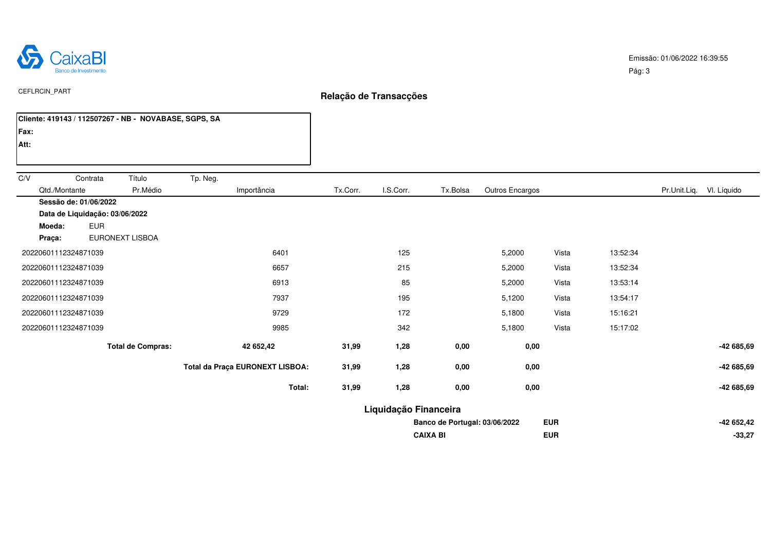

|      |                                        |            | Cliente: 419143 / 112507267 - NB - NOVABASE, SGPS, SA |          |                                 |                       |           |                               |                 |            |          |                          |
|------|----------------------------------------|------------|-------------------------------------------------------|----------|---------------------------------|-----------------------|-----------|-------------------------------|-----------------|------------|----------|--------------------------|
| Fax: |                                        |            |                                                       |          |                                 |                       |           |                               |                 |            |          |                          |
| Att: |                                        |            |                                                       |          |                                 |                       |           |                               |                 |            |          |                          |
|      |                                        |            |                                                       |          |                                 |                       |           |                               |                 |            |          |                          |
| C/V  |                                        | Contrata   | Título                                                | Tp. Neg. |                                 |                       |           |                               |                 |            |          |                          |
|      | Qtd./Montante<br>Sessão de: 01/06/2022 |            | Pr.Médio                                              |          | Importância                     | Tx.Corr.              | I.S.Corr. | Tx.Bolsa                      | Outros Encargos |            |          | Pr.Unit.Liq. VI. Líquido |
|      | Data de Liquidação: 03/06/2022         |            |                                                       |          |                                 |                       |           |                               |                 |            |          |                          |
|      | Moeda:                                 | <b>EUR</b> |                                                       |          |                                 |                       |           |                               |                 |            |          |                          |
|      | Praça:                                 |            | <b>EURONEXT LISBOA</b>                                |          |                                 |                       |           |                               |                 |            |          |                          |
|      | 20220601112324871039                   |            |                                                       |          | 6401                            |                       | 125       |                               | 5,2000          | Vista      | 13:52:34 |                          |
|      | 20220601112324871039                   |            |                                                       |          | 6657                            |                       | 215       |                               | 5,2000          | Vista      | 13:52:34 |                          |
|      | 20220601112324871039                   |            |                                                       |          | 6913                            |                       | 85        |                               | 5,2000          | Vista      | 13:53:14 |                          |
|      | 20220601112324871039                   |            |                                                       |          | 7937                            |                       | 195       |                               | 5,1200          | Vista      | 13:54:17 |                          |
|      | 20220601112324871039                   |            |                                                       |          | 9729                            |                       | 172       |                               | 5,1800          | Vista      | 15:16:21 |                          |
|      | 20220601112324871039                   |            |                                                       |          | 9985                            |                       | 342       |                               | 5,1800          | Vista      | 15:17:02 |                          |
|      |                                        |            | <b>Total de Compras:</b>                              |          | 42 652,42                       | 31,99                 | 1,28      | 0,00                          | 0,00            |            |          | -42 685,69               |
|      |                                        |            |                                                       |          | Total da Praça EURONEXT LISBOA: | 31,99                 | 1,28      | 0,00                          | 0,00            |            |          | -42 685,69               |
|      |                                        |            |                                                       |          | Total:                          | 31,99                 | 1,28      | 0,00                          | 0,00            |            |          | -42 685,69               |
|      |                                        |            |                                                       |          |                                 | Liquidação Financeira |           |                               |                 |            |          |                          |
|      |                                        |            |                                                       |          |                                 |                       |           | Banco de Portugal: 03/06/2022 |                 | <b>EUR</b> |          | -42 652,42               |
|      |                                        |            |                                                       |          |                                 |                       |           | <b>CAIXA BI</b>               |                 | <b>EUR</b> |          | $-33,27$                 |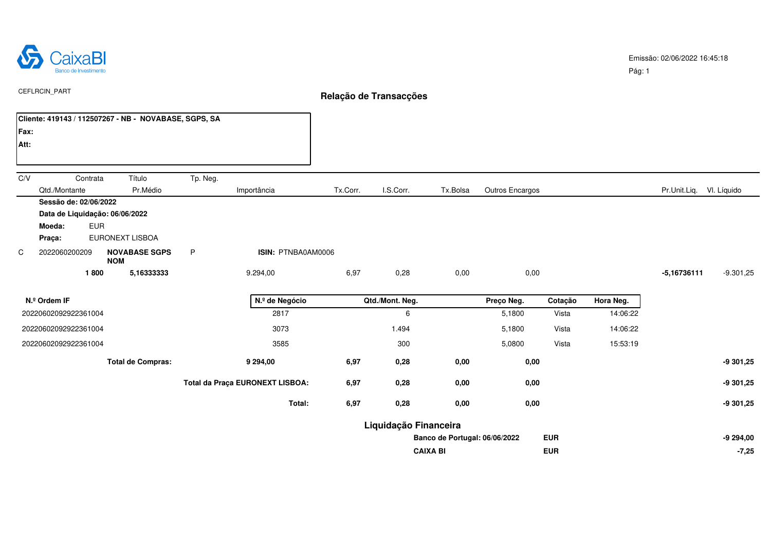

|      | Cliente: 419143 / 112507267 - NB - NOVABASE, SGPS, SA                                     |                                    |          |                                 |          |                       |                               |                 |            |           |                          |             |
|------|-------------------------------------------------------------------------------------------|------------------------------------|----------|---------------------------------|----------|-----------------------|-------------------------------|-----------------|------------|-----------|--------------------------|-------------|
| Fax: |                                                                                           |                                    |          |                                 |          |                       |                               |                 |            |           |                          |             |
| Att: |                                                                                           |                                    |          |                                 |          |                       |                               |                 |            |           |                          |             |
| C/V  | Contrata<br>Qtd./Montante                                                                 | Título<br>Pr.Médio                 | Tp. Neg. | Importância                     | Tx.Corr. | I.S.Corr.             | Tx.Bolsa                      | Outros Encargos |            |           | Pr.Unit.Liq. VI. Líquido |             |
|      | Sessão de: 02/06/2022<br>Data de Liquidação: 06/06/2022<br><b>EUR</b><br>Moeda:<br>Praça: | EURONEXT LISBOA                    |          |                                 |          |                       |                               |                 |            |           |                          |             |
| C    | 2022060200209                                                                             | <b>NOVABASE SGPS</b><br><b>NOM</b> | P        | ISIN: PTNBA0AM0006              |          |                       |                               |                 |            |           |                          |             |
|      | 1800                                                                                      | 5,16333333                         |          | 9.294,00                        | 6,97     | 0,28                  | 0,00                          | 0,00            |            |           | $-5,16736111$            | $-9.301,25$ |
|      | N.º Ordem IF                                                                              |                                    |          | N.º de Negócio                  |          | Qtd./Mont. Neg.       |                               | Preço Neg.      | Cotação    | Hora Neg. |                          |             |
|      | 20220602092922361004                                                                      |                                    |          | 2817                            |          | 6                     |                               | 5,1800          | Vista      | 14:06:22  |                          |             |
|      | 20220602092922361004                                                                      |                                    |          | 3073                            |          | 1.494                 |                               | 5,1800          | Vista      | 14:06:22  |                          |             |
|      | 20220602092922361004                                                                      |                                    |          | 3585                            |          | 300                   |                               | 5,0800          | Vista      | 15:53:19  |                          |             |
|      |                                                                                           | <b>Total de Compras:</b>           |          | 9 294,00                        | 6,97     | 0,28                  | 0,00                          | 0,00            |            |           |                          | $-9301,25$  |
|      |                                                                                           |                                    |          | Total da Praça EURONEXT LISBOA: | 6,97     | 0,28                  | 0,00                          | 0,00            |            |           |                          | $-9301,25$  |
|      |                                                                                           |                                    |          | Total:                          | 6,97     | 0,28                  | 0,00                          | 0,00            |            |           |                          | $-9301,25$  |
|      |                                                                                           |                                    |          |                                 |          | Liquidação Financeira |                               |                 |            |           |                          |             |
|      |                                                                                           |                                    |          |                                 |          |                       | Banco de Portugal: 06/06/2022 |                 | <b>EUR</b> |           |                          | $-9294,00$  |
|      |                                                                                           |                                    |          |                                 |          |                       | <b>CAIXA BI</b>               |                 | <b>EUR</b> |           |                          | $-7,25$     |